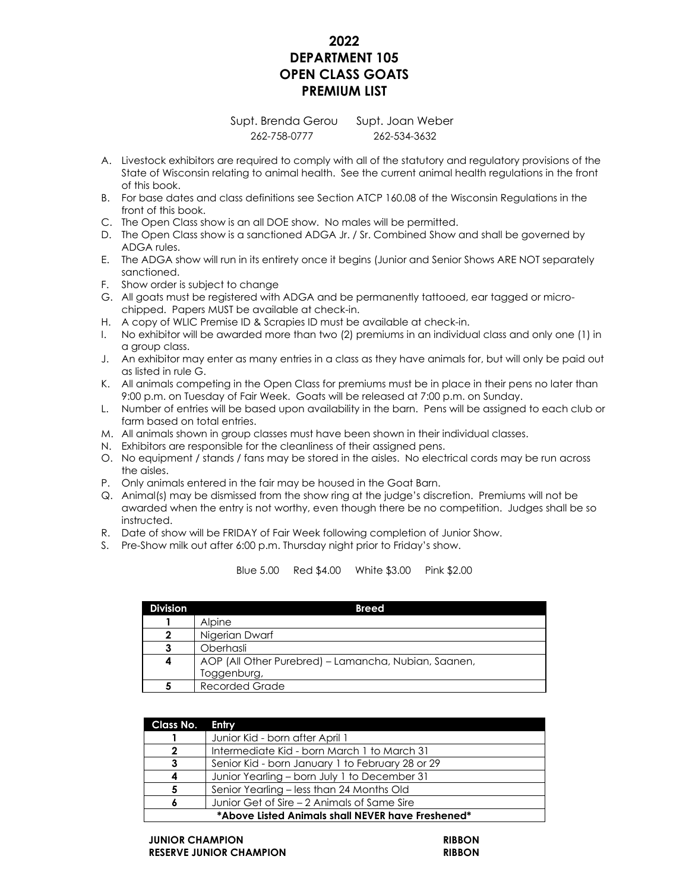## **2022 DEPARTMENT 105 OPEN CLASS GOATS PREMIUM LIST**

## Supt. Brenda Gerou Supt. Joan Weber 262-758-0777 262-534-3632

- A. Livestock exhibitors are required to comply with all of the statutory and regulatory provisions of the State of Wisconsin relating to animal health. See the current animal health regulations in the front of this book.
- B. For base dates and class definitions see Section ATCP 160.08 of the Wisconsin Regulations in the front of this book.
- C. The Open Class show is an all DOE show. No males will be permitted.
- D. The Open Class show is a sanctioned ADGA Jr. / Sr. Combined Show and shall be governed by ADGA rules.
- E. The ADGA show will run in its entirety once it begins (Junior and Senior Shows ARE NOT separately sanctioned.
- F. Show order is subject to change
- G. All goats must be registered with ADGA and be permanently tattooed, ear tagged or microchipped. Papers MUST be available at check-in.
- H. A copy of WLIC Premise ID & Scrapies ID must be available at check-in.
- I. No exhibitor will be awarded more than two (2) premiums in an individual class and only one (1) in a group class.
- J. An exhibitor may enter as many entries in a class as they have animals for, but will only be paid out as listed in rule G.
- K. All animals competing in the Open Class for premiums must be in place in their pens no later than 9:00 p.m. on Tuesday of Fair Week. Goats will be released at 7:00 p.m. on Sunday.
- L. Number of entries will be based upon availability in the barn. Pens will be assigned to each club or farm based on total entries.
- M. All animals shown in group classes must have been shown in their individual classes.
- N. Exhibitors are responsible for the cleanliness of their assigned pens.
- O. No equipment / stands / fans may be stored in the aisles. No electrical cords may be run across the aisles.
- P. Only animals entered in the fair may be housed in the Goat Barn.
- Q. Animal(s) may be dismissed from the show ring at the judge's discretion. Premiums will not be awarded when the entry is not worthy, even though there be no competition. Judges shall be so instructed.
- R. Date of show will be FRIDAY of Fair Week following completion of Junior Show.
- S. Pre-Show milk out after 6:00 p.m. Thursday night prior to Friday's show.

| <b>Division</b> | <b>Breed</b>                                         |
|-----------------|------------------------------------------------------|
|                 | <b>Alpine</b>                                        |
| 2               | Nigerian Dwarf                                       |
| З               | Oberhasli                                            |
| 4               | AOP (All Other Purebred) – Lamancha, Nubian, Saanen, |
|                 | Toggenburg,                                          |
|                 | <b>Recorded Grade</b>                                |

## Blue 5.00 Red \$4.00 White \$3.00 Pink \$2.00

| Class No.                                         | Entry                                            |  |
|---------------------------------------------------|--------------------------------------------------|--|
|                                                   | Junior Kid - born after April 1                  |  |
| 2                                                 | Intermediate Kid - born March 1 to March 31      |  |
| 3                                                 | Senior Kid - born January 1 to February 28 or 29 |  |
| 4                                                 | Junior Yearling – born July 1 to December 31     |  |
| 5                                                 | Senior Yearling – less than 24 Months Old        |  |
|                                                   | Junior Get of Sire – 2 Animals of Same Sire      |  |
| *Above Listed Animals shall NEVER have Freshened* |                                                  |  |